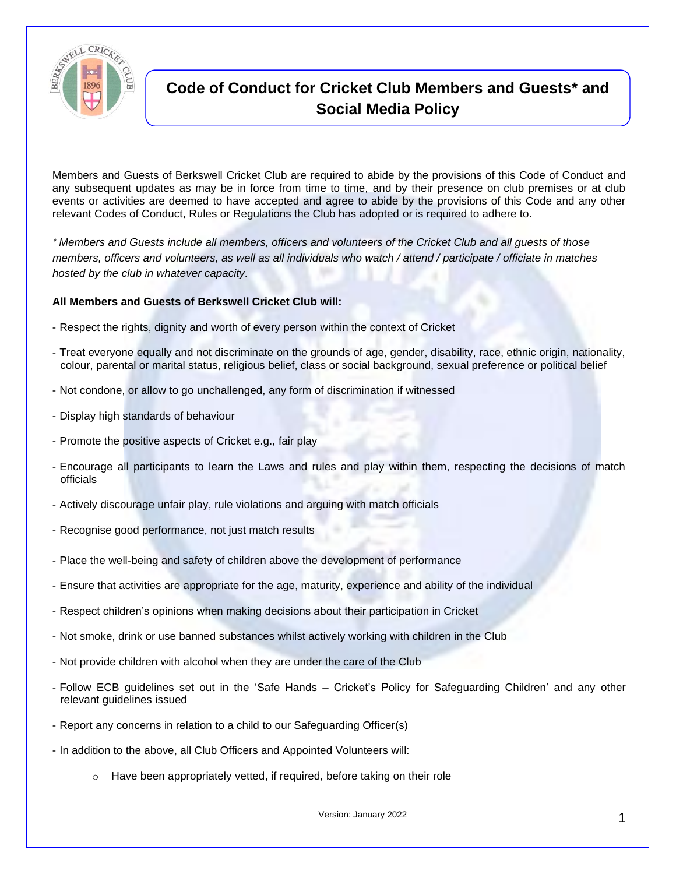

## **Code of Conduct for Cricket Club Members and Guests\* and Social Media Policy**

Members and Guests of Berkswell Cricket Club are required to abide by the provisions of this Code of Conduct and any subsequent updates as may be in force from time to time, and by their presence on club premises or at club events or activities are deemed to have accepted and agree to abide by the provisions of this Code and any other relevant Codes of Conduct, Rules or Regulations the Club has adopted or is required to adhere to.

 *Members and Guests include all members, officers and volunteers of the Cricket Club and all guests of those members, officers and volunteers, as well as all individuals who watch / attend / participate / officiate in matches hosted by the club in whatever capacity.*

## **All Members and Guests of Berkswell Cricket Club will:**

- Respect the rights, dignity and worth of every person within the context of Cricket
- Treat everyone equally and not discriminate on the grounds of age, gender, disability, race, ethnic origin, nationality, colour, parental or marital status, religious belief, class or social background, sexual preference or political belief
- Not condone, or allow to go unchallenged, any form of discrimination if witnessed
- Display high standards of behaviour
- Promote the positive aspects of Cricket e.g., fair play
- Encourage all participants to learn the Laws and rules and play within them, respecting the decisions of match officials
- Actively discourage unfair play, rule violations and arguing with match officials
- Recognise good performance, not just match results
- Place the well-being and safety of children above the development of performance
- Ensure that activities are appropriate for the age, maturity, experience and ability of the individual
- Respect children's opinions when making decisions about their participation in Cricket
- Not smoke, drink or use banned substances whilst actively working with children in the Club
- Not provide children with alcohol when they are under the care of the Club
- Follow ECB guidelines set out in the 'Safe Hands Cricket's Policy for Safeguarding Children' and any other relevant guidelines issued
- Report any concerns in relation to a child to our Safeguarding Officer(s)
- In addition to the above, all Club Officers and Appointed Volunteers will:
	- o Have been appropriately vetted, if required, before taking on their role